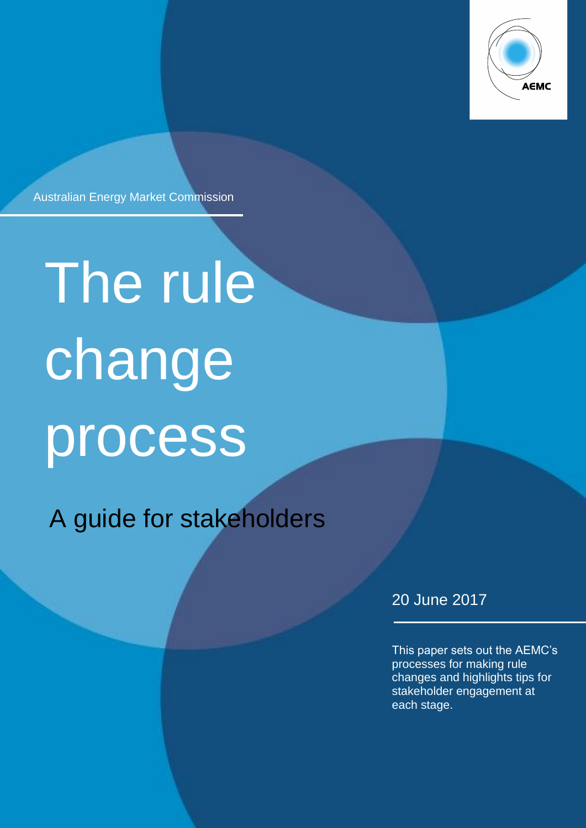

Australian Energy Market Commission

# The rule change process

A guide for stakeholders

A guide to the rule change process 2

20 June 2017

This paper sets out the AEMC's processes for making rule changes and highlights tips for stakeholder engagement at each stage.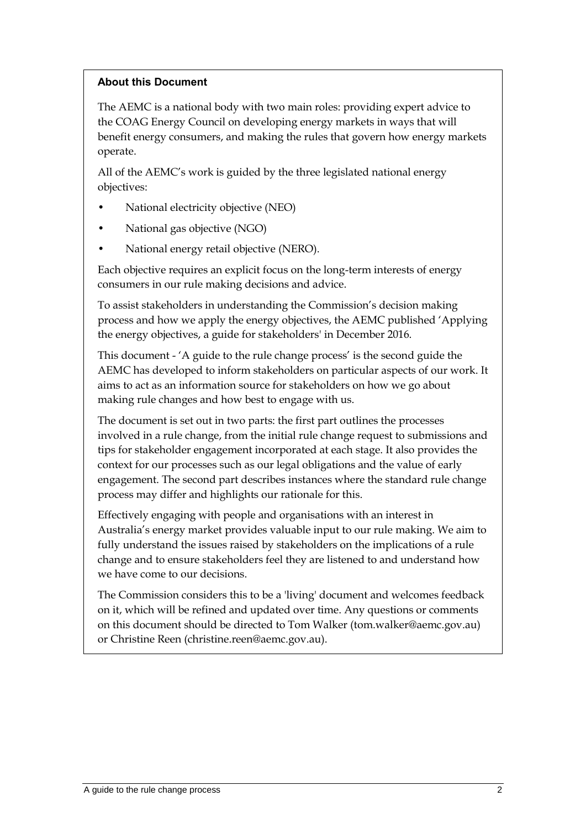#### **About this Document**

The AEMC is a national body with two main roles: providing expert advice to the COAG Energy Council on developing energy markets in ways that will benefit energy consumers, and making the rules that govern how energy markets operate.

All of the AEMC's work is guided by the three legislated national energy objectives:

- National electricity objective (NEO)
- National gas objective (NGO)
- National energy retail objective (NERO).

Each objective requires an explicit focus on the long-term interests of energy consumers in our rule making decisions and advice.

To assist stakeholders in understanding the Commission's decision making process and how we apply the energy objectives, the AEMC published 'Applying the energy objectives, a guide for stakeholders' in December 2016.

This document - 'A guide to the rule change process' is the second guide the AEMC has developed to inform stakeholders on particular aspects of our work. It aims to act as an information source for stakeholders on how we go about making rule changes and how best to engage with us.

The document is set out in two parts: the first part outlines the processes involved in a rule change, from the initial rule change request to submissions and tips for stakeholder engagement incorporated at each stage. It also provides the context for our processes such as our legal obligations and the value of early engagement. The second part describes instances where the standard rule change process may differ and highlights our rationale for this.

Effectively engaging with people and organisations with an interest in Australia's energy market provides valuable input to our rule making. We aim to fully understand the issues raised by stakeholders on the implications of a rule change and to ensure stakeholders feel they are listened to and understand how we have come to our decisions.

The Commission considers this to be a 'living' document and welcomes feedback on it, which will be refined and updated over time. Any questions or comments on this document should be directed to Tom Walker (tom.walker@aemc.gov.au) or Christine Reen (christine.reen@aemc.gov.au).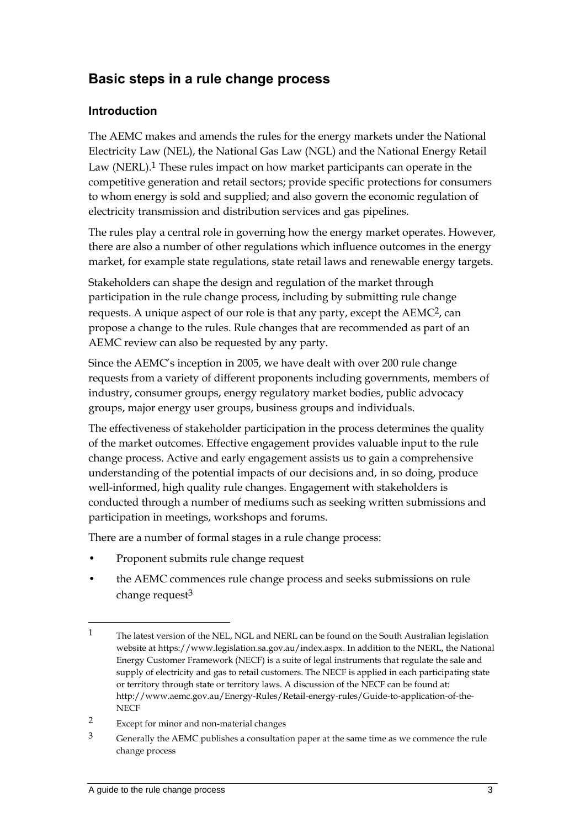# **Basic steps in a rule change process**

#### **Introduction**

The AEMC makes and amends the rules for the energy markets under the National Electricity Law (NEL), the National Gas Law (NGL) and the National Energy Retail Law (NERL).<sup>1</sup> These rules impact on how market participants can operate in the competitive generation and retail sectors; provide specific protections for consumers to whom energy is sold and supplied; and also govern the economic regulation of electricity transmission and distribution services and gas pipelines.

The rules play a central role in governing how the energy market operates. However, there are also a number of other regulations which influence outcomes in the energy market, for example state regulations, state retail laws and renewable energy targets.

Stakeholders can shape the design and regulation of the market through participation in the rule change process, including by submitting rule change requests. A unique aspect of our role is that any party, except the AEMC2, can propose a change to the rules. Rule changes that are recommended as part of an AEMC review can also be requested by any party.

Since the AEMC's inception in 2005, we have dealt with over 200 rule change requests from a variety of different proponents including governments, members of industry, consumer groups, energy regulatory market bodies, public advocacy groups, major energy user groups, business groups and individuals.

The effectiveness of stakeholder participation in the process determines the quality of the market outcomes. Effective engagement provides valuable input to the rule change process. Active and early engagement assists us to gain a comprehensive understanding of the potential impacts of our decisions and, in so doing, produce well-informed, high quality rule changes. Engagement with stakeholders is conducted through a number of mediums such as seeking written submissions and participation in meetings, workshops and forums.

There are a number of formal stages in a rule change process:

- Proponent submits rule change request
- the AEMC commences rule change process and seeks submissions on rule change request $3$

<sup>1</sup> The latest version of the NEL, NGL and NERL can be found on the South Australian legislation website at https://www.legislation.sa.gov.au/index.aspx. In addition to the NERL, the National Energy Customer Framework (NECF) is a suite of legal instruments that regulate the sale and supply of electricity and gas to retail customers. The NECF is applied in each participating state or territory through state or territory laws. A discussion of the NECF can be found at: http://www.aemc.gov.au/Energy-Rules/Retail-energy-rules/Guide-to-application-of-the-**NECF** 

<sup>2</sup> Except for minor and non-material changes

<sup>3</sup> Generally the AEMC publishes a consultation paper at the same time as we commence the rule change process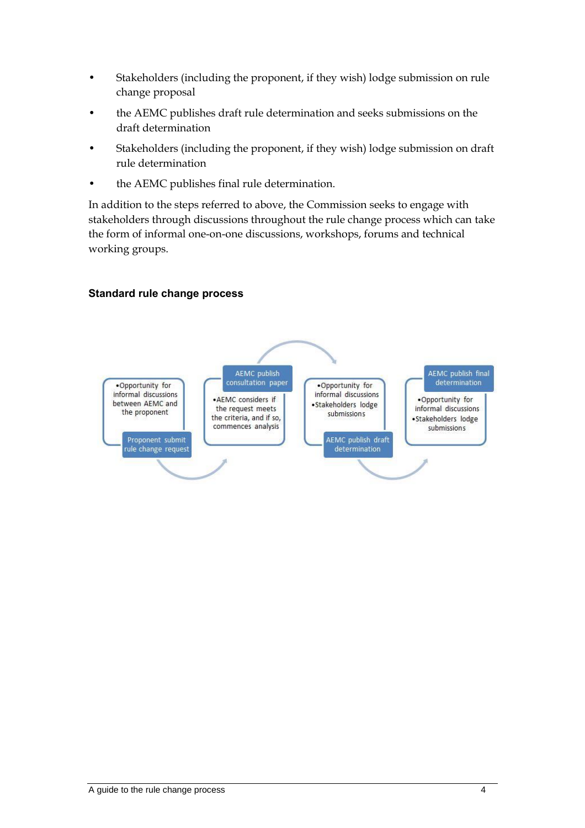- Stakeholders (including the proponent, if they wish) lodge submission on rule change proposal
- the AEMC publishes draft rule determination and seeks submissions on the draft determination
- Stakeholders (including the proponent, if they wish) lodge submission on draft rule determination
- the AEMC publishes final rule determination.

In addition to the steps referred to above, the Commission seeks to engage with stakeholders through discussions throughout the rule change process which can take the form of informal one-on-one discussions, workshops, forums and technical working groups.

#### **Standard rule change process**

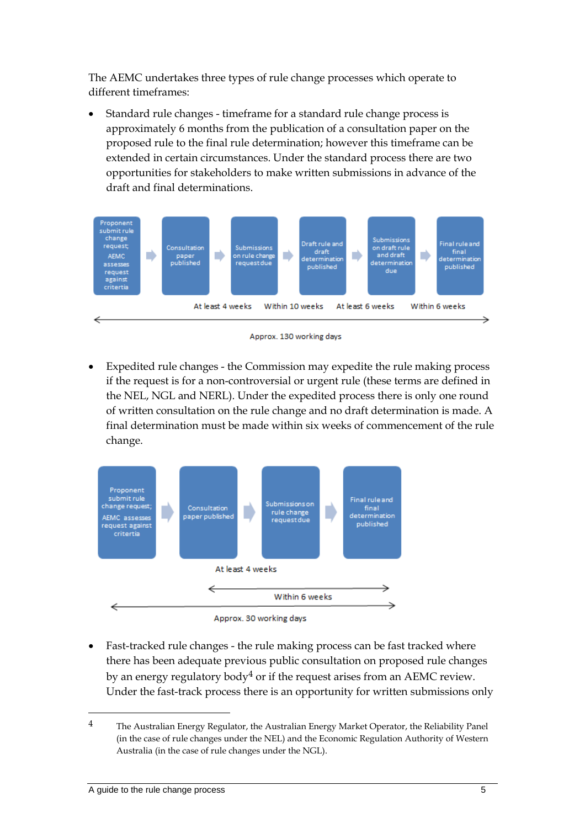The AEMC undertakes three types of rule change processes which operate to different timeframes:

 Standard rule changes - timeframe for a standard rule change process is approximately 6 months from the publication of a consultation paper on the proposed rule to the final rule determination; however this timeframe can be extended in certain circumstances. Under the standard process there are two opportunities for stakeholders to make written submissions in advance of the draft and final determinations.



Approx. 130 working days

 Expedited rule changes - the Commission may expedite the rule making process if the request is for a non-controversial or urgent rule (these terms are defined in the NEL, NGL and NERL). Under the expedited process there is only one round of written consultation on the rule change and no draft determination is made. A final determination must be made within six weeks of commencement of the rule change.



 Fast-tracked rule changes - the rule making process can be fast tracked where there has been adequate previous public consultation on proposed rule changes by an energy regulatory body<sup>4</sup> or if the request arises from an AEMC review. Under the fast-track process there is an opportunity for written submissions only

<sup>4</sup> The Australian Energy Regulator, the Australian Energy Market Operator, the Reliability Panel (in the case of rule changes under the NEL) and the Economic Regulation Authority of Western Australia (in the case of rule changes under the NGL).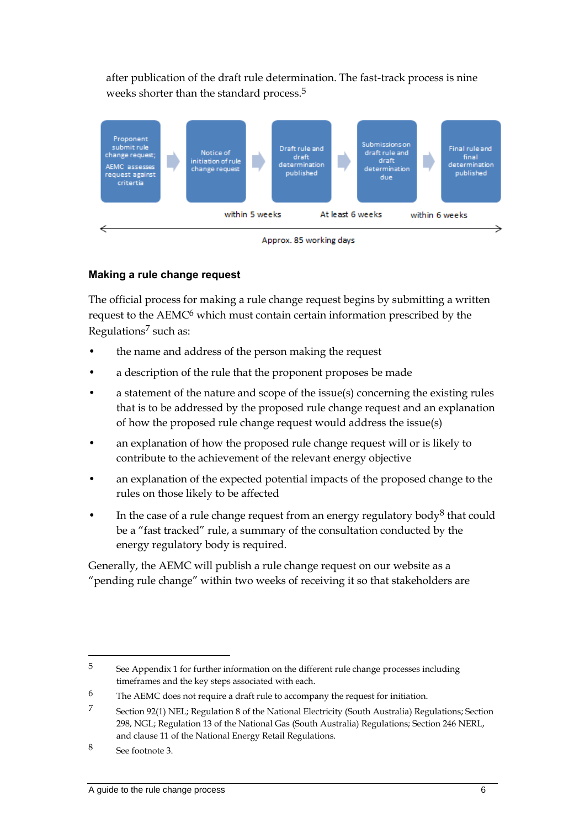after publication of the draft rule determination. The fast-track process is nine weeks shorter than the standard process.5



Approx. 85 working days

#### **Making a rule change request**

The official process for making a rule change request begins by submitting a written request to the AEMC6 which must contain certain information prescribed by the Regulations7 such as:

- the name and address of the person making the request
- a description of the rule that the proponent proposes be made
- a statement of the nature and scope of the issue(s) concerning the existing rules that is to be addressed by the proposed rule change request and an explanation of how the proposed rule change request would address the issue(s)
- an explanation of how the proposed rule change request will or is likely to contribute to the achievement of the relevant energy objective
- an explanation of the expected potential impacts of the proposed change to the rules on those likely to be affected
- In the case of a rule change request from an energy regulatory body<sup>8</sup> that could be a "fast tracked" rule, a summary of the consultation conducted by the energy regulatory body is required.

Generally, the AEMC will publish a rule change request on our website as a "pending rule change" within two weeks of receiving it so that stakeholders are

<sup>5</sup> See Appendix 1 for further information on the different rule change processes including timeframes and the key steps associated with each.

<sup>6</sup> The AEMC does not require a draft rule to accompany the request for initiation.

<sup>7</sup> Section 92(1) NEL; Regulation 8 of the National Electricity (South Australia) Regulations; Section 298, NGL; Regulation 13 of the National Gas (South Australia) Regulations; Section 246 NERL, and clause 11 of the National Energy Retail Regulations.

<sup>8</sup> See footnote 3.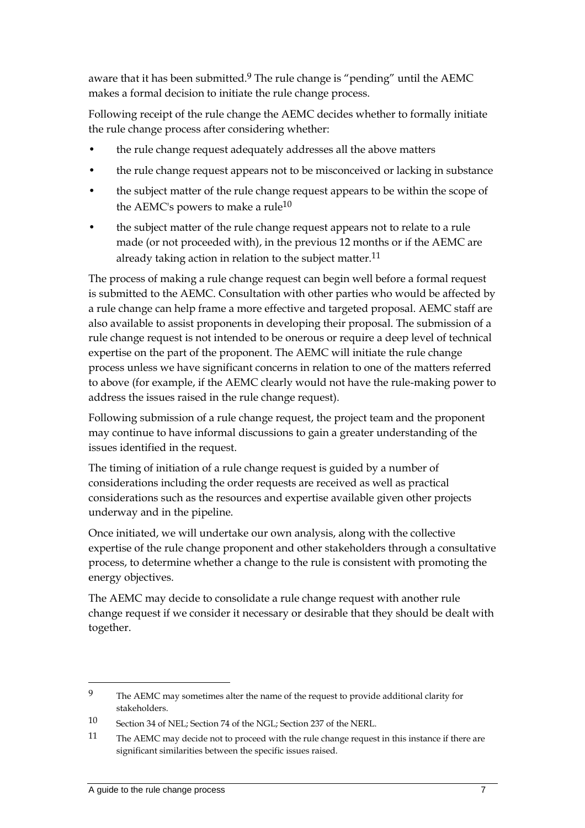aware that it has been submitted.9 The rule change is "pending" until the AEMC makes a formal decision to initiate the rule change process.

Following receipt of the rule change the AEMC decides whether to formally initiate the rule change process after considering whether:

- the rule change request adequately addresses all the above matters
- the rule change request appears not to be misconceived or lacking in substance
- the subject matter of the rule change request appears to be within the scope of the AEMC's powers to make a rule<sup>10</sup>
- the subject matter of the rule change request appears not to relate to a rule made (or not proceeded with), in the previous 12 months or if the AEMC are already taking action in relation to the subject matter.<sup>11</sup>

The process of making a rule change request can begin well before a formal request is submitted to the AEMC. Consultation with other parties who would be affected by a rule change can help frame a more effective and targeted proposal. AEMC staff are also available to assist proponents in developing their proposal. The submission of a rule change request is not intended to be onerous or require a deep level of technical expertise on the part of the proponent. The AEMC will initiate the rule change process unless we have significant concerns in relation to one of the matters referred to above (for example, if the AEMC clearly would not have the rule-making power to address the issues raised in the rule change request).

Following submission of a rule change request, the project team and the proponent may continue to have informal discussions to gain a greater understanding of the issues identified in the request.

The timing of initiation of a rule change request is guided by a number of considerations including the order requests are received as well as practical considerations such as the resources and expertise available given other projects underway and in the pipeline.

Once initiated, we will undertake our own analysis, along with the collective expertise of the rule change proponent and other stakeholders through a consultative process, to determine whether a change to the rule is consistent with promoting the energy objectives.

The AEMC may decide to consolidate a rule change request with another rule change request if we consider it necessary or desirable that they should be dealt with together.

<sup>9</sup> The AEMC may sometimes alter the name of the request to provide additional clarity for stakeholders.

<sup>10</sup> Section 34 of NEL; Section 74 of the NGL; Section 237 of the NERL.

<sup>11</sup> The AEMC may decide not to proceed with the rule change request in this instance if there are significant similarities between the specific issues raised.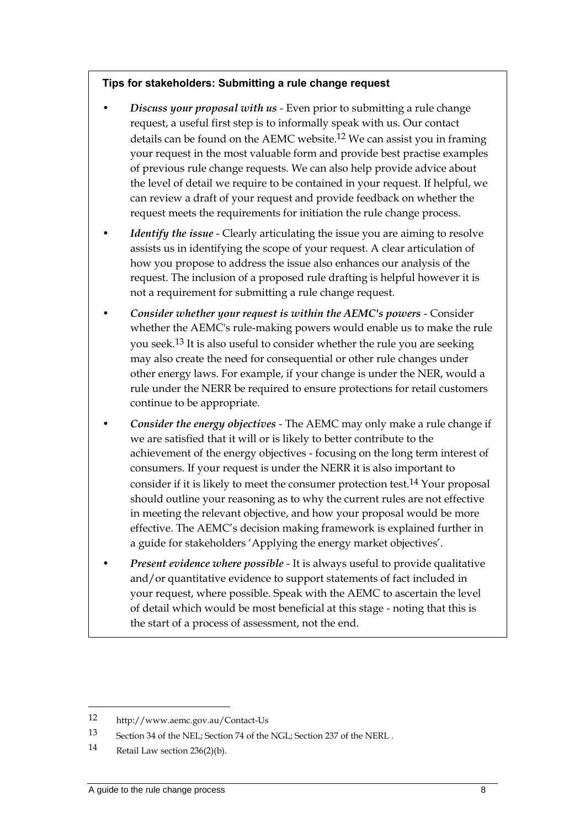#### **Tips for stakeholders: Submitting a rule change request**

- *Discuss your proposal with us* Even prior to submitting a rule change request, a useful first step is to informally speak with us. Our contact details can be found on the AEMC website.<sup>12</sup> We can assist you in framing your request in the most valuable form and provide best practise examples of previous rule change requests. We can also help provide advice about the level of detail we require to be contained in your request. If helpful, we can review a draft of your request and provide feedback on whether the request meets the requirements for initiation the rule change process.
- *Identify the issue* Clearly articulating the issue you are aiming to resolve assists us in identifying the scope of your request. A clear articulation of how you propose to address the issue also enhances our analysis of the request. The inclusion of a proposed rule drafting is helpful however it is not a requirement for submitting a rule change request.
- *Consider whether your request is within the AEMC's powers* Consider whether the AEMC's rule-making powers would enable us to make the rule you seek.13 It is also useful to consider whether the rule you are seeking may also create the need for consequential or other rule changes under other energy laws. For example, if your change is under the NER, would a rule under the NERR be required to ensure protections for retail customers continue to be appropriate.
- *Consider the energy objectives* The AEMC may only make a rule change if we are satisfied that it will or is likely to better contribute to the achievement of the energy objectives - focusing on the long term interest of consumers. If your request is under the NERR it is also important to consider if it is likely to meet the consumer protection test.14 Your proposal should outline your reasoning as to why the current rules are not effective in meeting the relevant objective, and how your proposal would be more effective. The AEMC's decision making framework is explained further in a guide for stakeholders 'Applying the energy market objectives'.
- *Present evidence where possible* It is always useful to provide qualitative and/or quantitative evidence to support statements of fact included in your request, where possible. Speak with the AEMC to ascertain the level of detail which would be most beneficial at this stage - noting that this is the start of a process of assessment, not the end.

<sup>12</sup> http://www.aemc.gov.au/Contact-Us

<sup>13</sup> Section 34 of the NEL; Section 74 of the NGL; Section 237 of the NERL .

<sup>14</sup> Retail Law section 236(2)(b).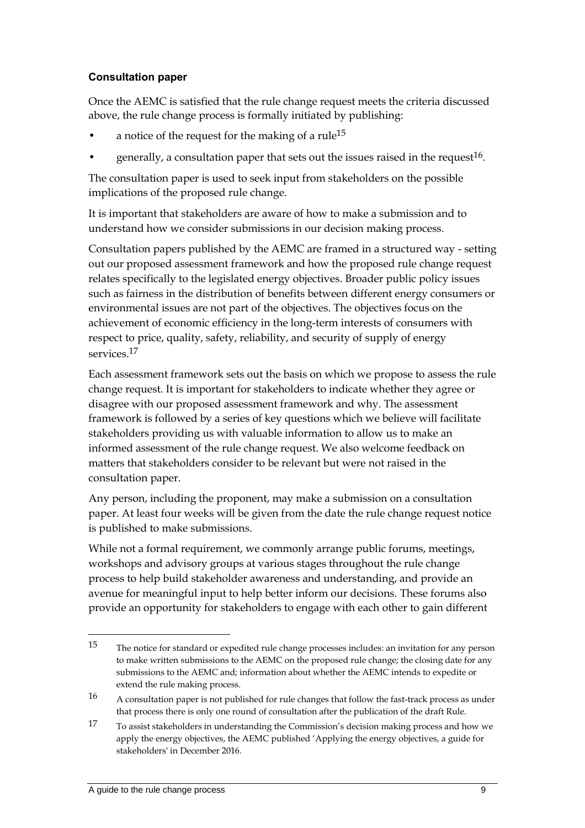#### **Consultation paper**

Once the AEMC is satisfied that the rule change request meets the criteria discussed above, the rule change process is formally initiated by publishing:

- a notice of the request for the making of a rule<sup>15</sup>
- generally, a consultation paper that sets out the issues raised in the request  $16$ .

The consultation paper is used to seek input from stakeholders on the possible implications of the proposed rule change.

It is important that stakeholders are aware of how to make a submission and to understand how we consider submissions in our decision making process.

Consultation papers published by the AEMC are framed in a structured way - setting out our proposed assessment framework and how the proposed rule change request relates specifically to the legislated energy objectives. Broader public policy issues such as fairness in the distribution of benefits between different energy consumers or environmental issues are not part of the objectives. The objectives focus on the achievement of economic efficiency in the long-term interests of consumers with respect to price, quality, safety, reliability, and security of supply of energy services.17

Each assessment framework sets out the basis on which we propose to assess the rule change request. It is important for stakeholders to indicate whether they agree or disagree with our proposed assessment framework and why. The assessment framework is followed by a series of key questions which we believe will facilitate stakeholders providing us with valuable information to allow us to make an informed assessment of the rule change request. We also welcome feedback on matters that stakeholders consider to be relevant but were not raised in the consultation paper.

Any person, including the proponent, may make a submission on a consultation paper. At least four weeks will be given from the date the rule change request notice is published to make submissions.

While not a formal requirement, we commonly arrange public forums, meetings, workshops and advisory groups at various stages throughout the rule change process to help build stakeholder awareness and understanding, and provide an avenue for meaningful input to help better inform our decisions. These forums also provide an opportunity for stakeholders to engage with each other to gain different

<sup>15</sup> The notice for standard or expedited rule change processes includes: an invitation for any person to make written submissions to the AEMC on the proposed rule change; the closing date for any submissions to the AEMC and; information about whether the AEMC intends to expedite or extend the rule making process.

<sup>16</sup> A consultation paper is not published for rule changes that follow the fast-track process as under that process there is only one round of consultation after the publication of the draft Rule.

<sup>17</sup> To assist stakeholders in understanding the Commission's decision making process and how we apply the energy objectives, the AEMC published 'Applying the energy objectives, a guide for stakeholders' in December 2016.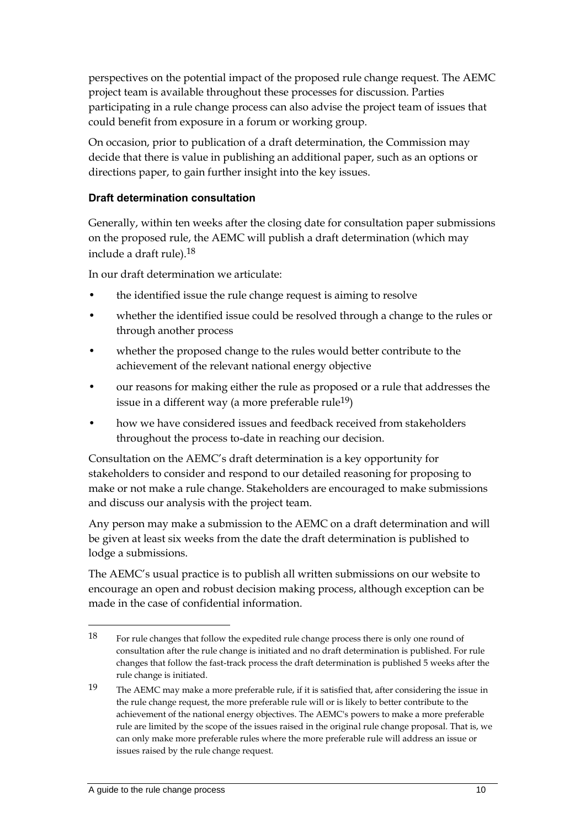perspectives on the potential impact of the proposed rule change request. The AEMC project team is available throughout these processes for discussion. Parties participating in a rule change process can also advise the project team of issues that could benefit from exposure in a forum or working group.

On occasion, prior to publication of a draft determination, the Commission may decide that there is value in publishing an additional paper, such as an options or directions paper, to gain further insight into the key issues.

#### **Draft determination consultation**

Generally, within ten weeks after the closing date for consultation paper submissions on the proposed rule, the AEMC will publish a draft determination (which may include a draft rule).18

In our draft determination we articulate:

- the identified issue the rule change request is aiming to resolve
- whether the identified issue could be resolved through a change to the rules or through another process
- whether the proposed change to the rules would better contribute to the achievement of the relevant national energy objective
- our reasons for making either the rule as proposed or a rule that addresses the issue in a different way (a more preferable rule<sup>19</sup>)
- how we have considered issues and feedback received from stakeholders throughout the process to-date in reaching our decision.

Consultation on the AEMC's draft determination is a key opportunity for stakeholders to consider and respond to our detailed reasoning for proposing to make or not make a rule change. Stakeholders are encouraged to make submissions and discuss our analysis with the project team.

Any person may make a submission to the AEMC on a draft determination and will be given at least six weeks from the date the draft determination is published to lodge a submissions.

The AEMC's usual practice is to publish all written submissions on our website to encourage an open and robust decision making process, although exception can be made in the case of confidential information.

<sup>18</sup> For rule changes that follow the expedited rule change process there is only one round of consultation after the rule change is initiated and no draft determination is published. For rule changes that follow the fast-track process the draft determination is published 5 weeks after the rule change is initiated.

<sup>19</sup> The AEMC may make a more preferable rule, if it is satisfied that, after considering the issue in the rule change request, the more preferable rule will or is likely to better contribute to the achievement of the national energy objectives. The AEMC's powers to make a more preferable rule are limited by the scope of the issues raised in the original rule change proposal. That is, we can only make more preferable rules where the more preferable rule will address an issue or issues raised by the rule change request.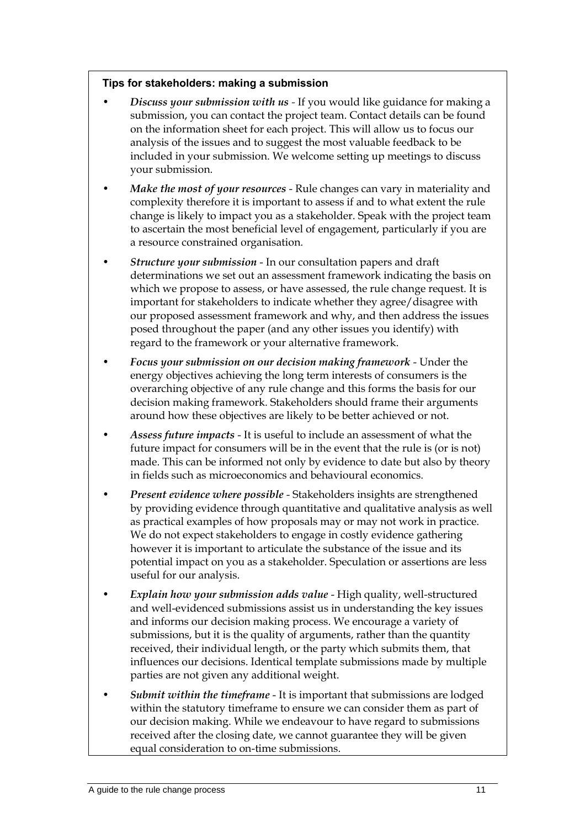#### **Tips for stakeholders: making a submission**

- *Discuss your submission with us -* If you would like guidance for making a submission, you can contact the project team. Contact details can be found on the information sheet for each project. This will allow us to focus our analysis of the issues and to suggest the most valuable feedback to be included in your submission. We welcome setting up meetings to discuss your submission.
- *Make the most of your resources* Rule changes can vary in materiality and complexity therefore it is important to assess if and to what extent the rule change is likely to impact you as a stakeholder. Speak with the project team to ascertain the most beneficial level of engagement, particularly if you are a resource constrained organisation.
- *Structure your submission* In our consultation papers and draft determinations we set out an assessment framework indicating the basis on which we propose to assess, or have assessed, the rule change request. It is important for stakeholders to indicate whether they agree/disagree with our proposed assessment framework and why, and then address the issues posed throughout the paper (and any other issues you identify) with regard to the framework or your alternative framework.
- *Focus your submission on our decision making framework* Under the energy objectives achieving the long term interests of consumers is the overarching objective of any rule change and this forms the basis for our decision making framework. Stakeholders should frame their arguments around how these objectives are likely to be better achieved or not.
- *Assess future impacts* It is useful to include an assessment of what the future impact for consumers will be in the event that the rule is (or is not) made. This can be informed not only by evidence to date but also by theory in fields such as microeconomics and behavioural economics.
- *Present evidence where possible* Stakeholders insights are strengthened by providing evidence through quantitative and qualitative analysis as well as practical examples of how proposals may or may not work in practice. We do not expect stakeholders to engage in costly evidence gathering however it is important to articulate the substance of the issue and its potential impact on you as a stakeholder. Speculation or assertions are less useful for our analysis.
- *Explain how your submission adds value* High quality, well-structured and well-evidenced submissions assist us in understanding the key issues and informs our decision making process. We encourage a variety of submissions, but it is the quality of arguments, rather than the quantity received, their individual length, or the party which submits them, that influences our decisions. Identical template submissions made by multiple parties are not given any additional weight.
- *Submit within the timeframe* It is important that submissions are lodged within the statutory timeframe to ensure we can consider them as part of our decision making. While we endeavour to have regard to submissions received after the closing date, we cannot guarantee they will be given equal consideration to on-time submissions.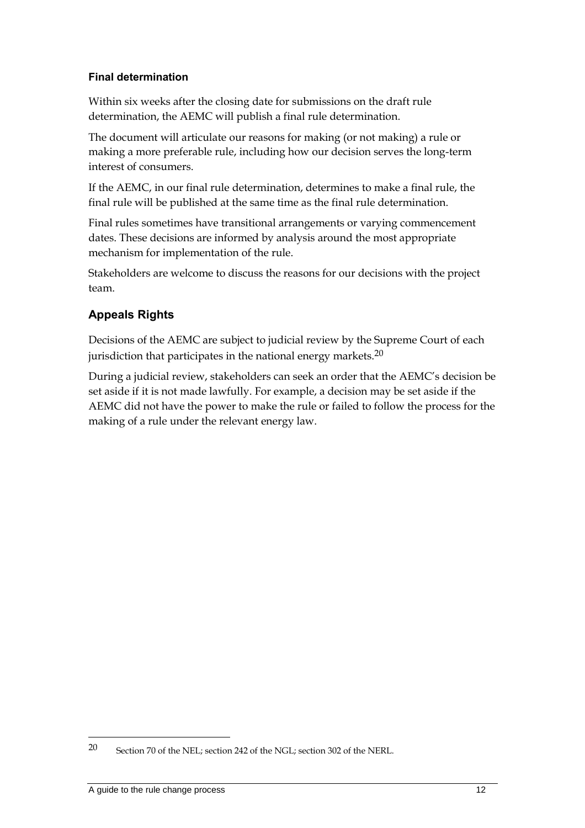#### **Final determination**

Within six weeks after the closing date for submissions on the draft rule determination, the AEMC will publish a final rule determination.

The document will articulate our reasons for making (or not making) a rule or making a more preferable rule, including how our decision serves the long-term interest of consumers.

If the AEMC, in our final rule determination, determines to make a final rule, the final rule will be published at the same time as the final rule determination.

Final rules sometimes have transitional arrangements or varying commencement dates. These decisions are informed by analysis around the most appropriate mechanism for implementation of the rule.

Stakeholders are welcome to discuss the reasons for our decisions with the project team.

# **Appeals Rights**

Decisions of the AEMC are subject to judicial review by the Supreme Court of each jurisdiction that participates in the national energy markets.<sup>20</sup>

During a judicial review, stakeholders can seek an order that the AEMC's decision be set aside if it is not made lawfully. For example, a decision may be set aside if the AEMC did not have the power to make the rule or failed to follow the process for the making of a rule under the relevant energy law.

<sup>20</sup> Section 70 of the NEL; section 242 of the NGL; section 302 of the NERL.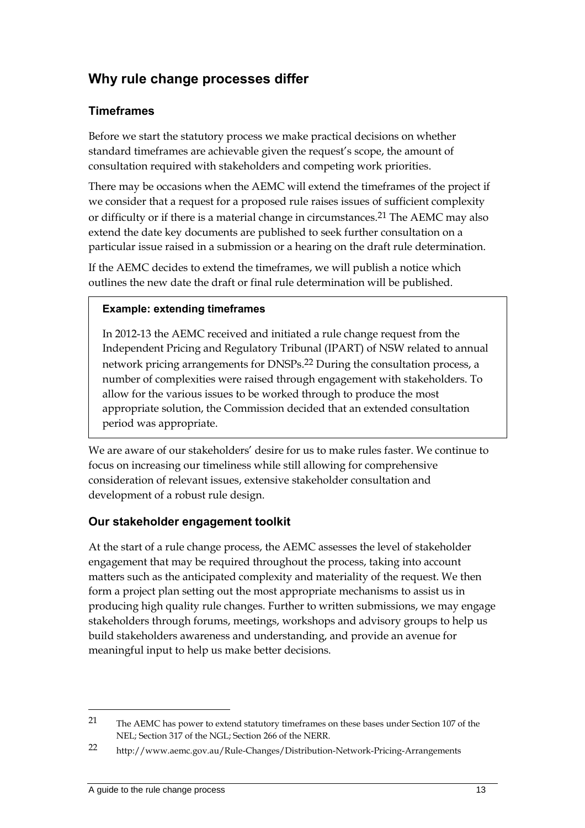# **Why rule change processes differ**

### **Timeframes**

Before we start the statutory process we make practical decisions on whether standard timeframes are achievable given the request's scope, the amount of consultation required with stakeholders and competing work priorities.

There may be occasions when the AEMC will extend the timeframes of the project if we consider that a request for a proposed rule raises issues of sufficient complexity or difficulty or if there is a material change in circumstances.21 The AEMC may also extend the date key documents are published to seek further consultation on a particular issue raised in a submission or a hearing on the draft rule determination.

If the AEMC decides to extend the timeframes, we will publish a notice which outlines the new date the draft or final rule determination will be published.

#### **Example: extending timeframes**

In 2012-13 the AEMC received and initiated a rule change request from the Independent Pricing and Regulatory Tribunal (IPART) of NSW related to annual network pricing arrangements for DNSPs.22 During the consultation process, a number of complexities were raised through engagement with stakeholders. To allow for the various issues to be worked through to produce the most appropriate solution, the Commission decided that an extended consultation period was appropriate.

We are aware of our stakeholders' desire for us to make rules faster. We continue to focus on increasing our timeliness while still allowing for comprehensive consideration of relevant issues, extensive stakeholder consultation and development of a robust rule design.

#### **Our stakeholder engagement toolkit**

At the start of a rule change process, the AEMC assesses the level of stakeholder engagement that may be required throughout the process, taking into account matters such as the anticipated complexity and materiality of the request. We then form a project plan setting out the most appropriate mechanisms to assist us in producing high quality rule changes. Further to written submissions, we may engage stakeholders through forums, meetings, workshops and advisory groups to help us build stakeholders awareness and understanding, and provide an avenue for meaningful input to help us make better decisions.

<sup>21</sup> The AEMC has power to extend statutory timeframes on these bases under Section 107 of the NEL; Section 317 of the NGL; Section 266 of the NERR.

<sup>22</sup> http://www.aemc.gov.au/Rule-Changes/Distribution-Network-Pricing-Arrangements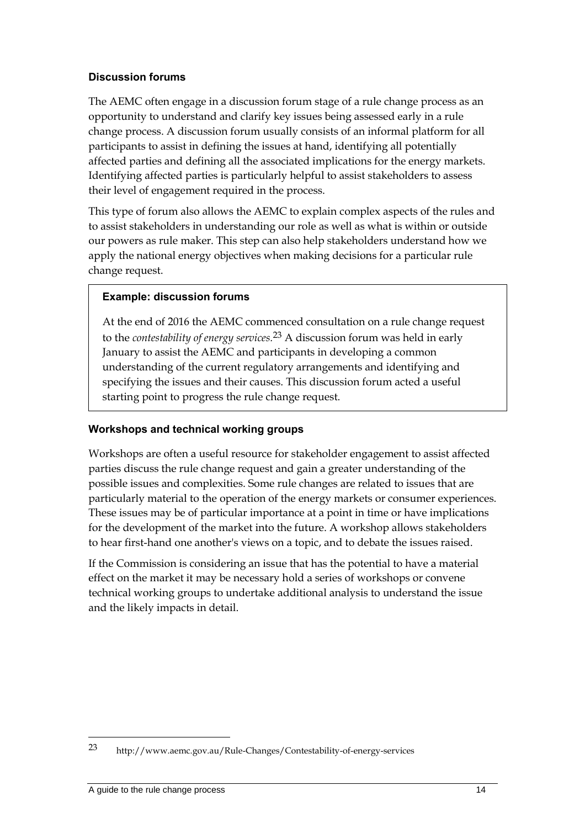#### **Discussion forums**

The AEMC often engage in a discussion forum stage of a rule change process as an opportunity to understand and clarify key issues being assessed early in a rule change process. A discussion forum usually consists of an informal platform for all participants to assist in defining the issues at hand, identifying all potentially affected parties and defining all the associated implications for the energy markets. Identifying affected parties is particularly helpful to assist stakeholders to assess their level of engagement required in the process.

This type of forum also allows the AEMC to explain complex aspects of the rules and to assist stakeholders in understanding our role as well as what is within or outside our powers as rule maker. This step can also help stakeholders understand how we apply the national energy objectives when making decisions for a particular rule change request.

#### **Example: discussion forums**

At the end of 2016 the AEMC commenced consultation on a rule change request to the *contestability of energy services.*23 A discussion forum was held in early January to assist the AEMC and participants in developing a common understanding of the current regulatory arrangements and identifying and specifying the issues and their causes. This discussion forum acted a useful starting point to progress the rule change request.

#### **Workshops and technical working groups**

Workshops are often a useful resource for stakeholder engagement to assist affected parties discuss the rule change request and gain a greater understanding of the possible issues and complexities. Some rule changes are related to issues that are particularly material to the operation of the energy markets or consumer experiences. These issues may be of particular importance at a point in time or have implications for the development of the market into the future. A workshop allows stakeholders to hear first-hand one another's views on a topic, and to debate the issues raised.

If the Commission is considering an issue that has the potential to have a material effect on the market it may be necessary hold a series of workshops or convene technical working groups to undertake additional analysis to understand the issue and the likely impacts in detail.

<sup>23</sup> http://www.aemc.gov.au/Rule-Changes/Contestability-of-energy-services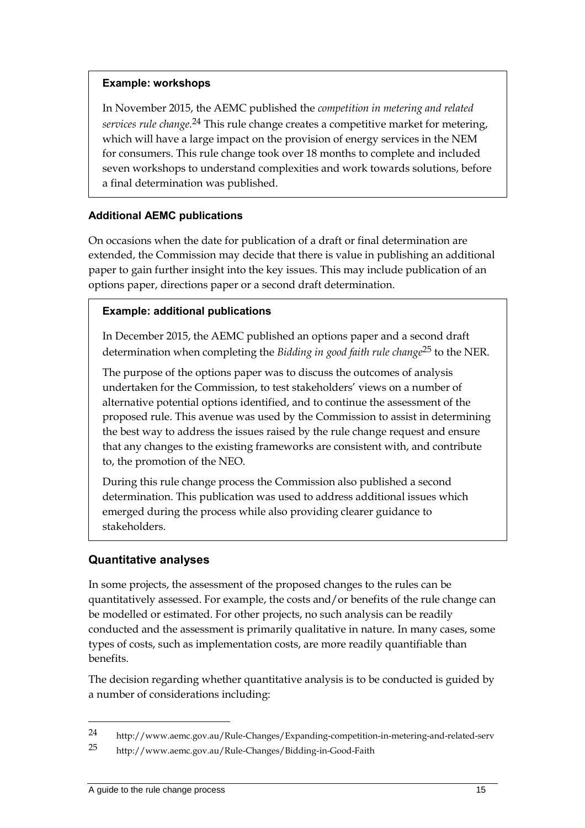#### **Example: workshops**

In November 2015, the AEMC published the *competition in metering and related services rule change.*24 This rule change creates a competitive market for metering, which will have a large impact on the provision of energy services in the NEM for consumers. This rule change took over 18 months to complete and included seven workshops to understand complexities and work towards solutions, before a final determination was published.

#### **Additional AEMC publications**

On occasions when the date for publication of a draft or final determination are extended, the Commission may decide that there is value in publishing an additional paper to gain further insight into the key issues. This may include publication of an options paper, directions paper or a second draft determination.

#### **Example: additional publications**

In December 2015, the AEMC published an options paper and a second draft determination when completing the *Bidding in good faith rule change*25 to the NER.

The purpose of the options paper was to discuss the outcomes of analysis undertaken for the Commission, to test stakeholders' views on a number of alternative potential options identified, and to continue the assessment of the proposed rule. This avenue was used by the Commission to assist in determining the best way to address the issues raised by the rule change request and ensure that any changes to the existing frameworks are consistent with, and contribute to, the promotion of the NEO.

During this rule change process the Commission also published a second determination. This publication was used to address additional issues which emerged during the process while also providing clearer guidance to stakeholders.

#### **Quantitative analyses**

In some projects, the assessment of the proposed changes to the rules can be quantitatively assessed. For example, the costs and/or benefits of the rule change can be modelled or estimated. For other projects, no such analysis can be readily conducted and the assessment is primarily qualitative in nature. In many cases, some types of costs, such as implementation costs, are more readily quantifiable than benefits.

The decision regarding whether quantitative analysis is to be conducted is guided by a number of considerations including:

<sup>24</sup> http://www.aemc.gov.au/Rule-Changes/Expanding-competition-in-metering-and-related-serv

<sup>25</sup> http://www.aemc.gov.au/Rule-Changes/Bidding-in-Good-Faith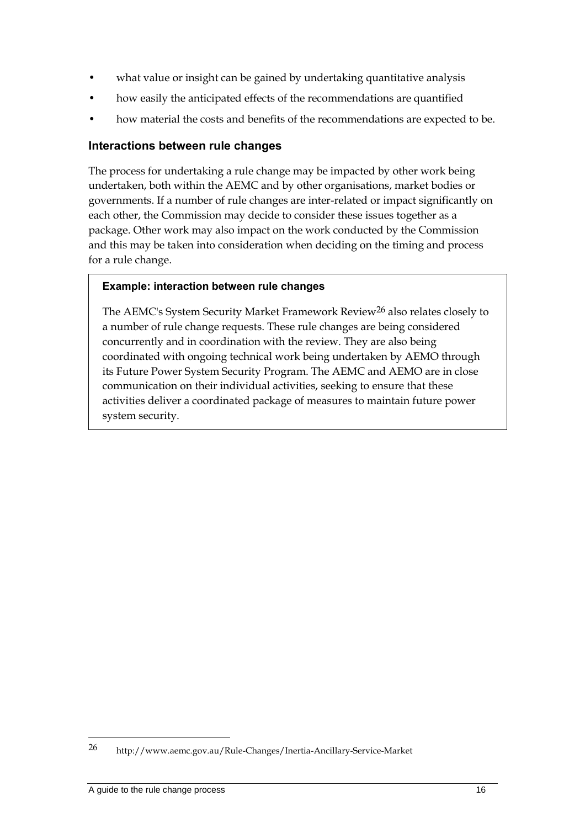- what value or insight can be gained by undertaking quantitative analysis
- how easily the anticipated effects of the recommendations are quantified
- how material the costs and benefits of the recommendations are expected to be.

#### **Interactions between rule changes**

The process for undertaking a rule change may be impacted by other work being undertaken, both within the AEMC and by other organisations, market bodies or governments. If a number of rule changes are inter-related or impact significantly on each other, the Commission may decide to consider these issues together as a package. Other work may also impact on the work conducted by the Commission and this may be taken into consideration when deciding on the timing and process for a rule change.

#### **Example: interaction between rule changes**

The AEMC's System Security Market Framework Review26 also relates closely to a number of rule change requests. These rule changes are being considered concurrently and in coordination with the review. They are also being coordinated with ongoing technical work being undertaken by AEMO through its Future Power System Security Program. The AEMC and AEMO are in close communication on their individual activities, seeking to ensure that these activities deliver a coordinated package of measures to maintain future power system security.

<sup>26</sup> http://www.aemc.gov.au/Rule-Changes/Inertia-Ancillary-Service-Market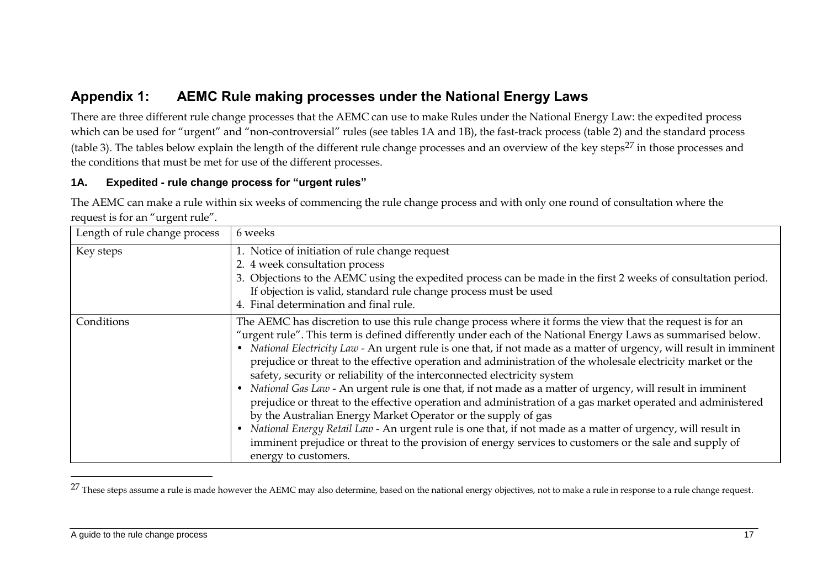# **Appendix 1: AEMC Rule making processes under the National Energy Laws**

There are three different rule change processes that the AEMC can use to make Rules under the National Energy Law: the expedited process which can be used for "urgent" and "non-controversial" rules (see tables 1A and 1B), the fast-track process (table 2) and the standard process (table 3). The tables below explain the length of the different rule change processes and an overview of the key steps $^{27}$  in those processes and the conditions that must be met for use of the different processes.

#### **1A. Expedited - rule change process for "urgent rules"**

The AEMC can make a rule within six weeks of commencing the rule change process and with only one round of consultation where the request is for an "urgent rule".

| Length of rule change process | 6 weeks                                                                                                                                                                                                                                                                                                                                                                                                                                                                                                                                                                                                                                                                                                                                                                                                                                                                                                                                                                                                                                                                                       |
|-------------------------------|-----------------------------------------------------------------------------------------------------------------------------------------------------------------------------------------------------------------------------------------------------------------------------------------------------------------------------------------------------------------------------------------------------------------------------------------------------------------------------------------------------------------------------------------------------------------------------------------------------------------------------------------------------------------------------------------------------------------------------------------------------------------------------------------------------------------------------------------------------------------------------------------------------------------------------------------------------------------------------------------------------------------------------------------------------------------------------------------------|
| Key steps                     | 1. Notice of initiation of rule change request<br>2. 4 week consultation process<br>3. Objections to the AEMC using the expedited process can be made in the first 2 weeks of consultation period.<br>If objection is valid, standard rule change process must be used<br>4. Final determination and final rule.                                                                                                                                                                                                                                                                                                                                                                                                                                                                                                                                                                                                                                                                                                                                                                              |
| Conditions                    | The AEMC has discretion to use this rule change process where it forms the view that the request is for an<br>"urgent rule". This term is defined differently under each of the National Energy Laws as summarised below.<br>• National Electricity Law - An urgent rule is one that, if not made as a matter of urgency, will result in imminent<br>prejudice or threat to the effective operation and administration of the wholesale electricity market or the<br>safety, security or reliability of the interconnected electricity system<br>National Gas Law - An urgent rule is one that, if not made as a matter of urgency, will result in imminent<br>prejudice or threat to the effective operation and administration of a gas market operated and administered<br>by the Australian Energy Market Operator or the supply of gas<br>National Energy Retail Law - An urgent rule is one that, if not made as a matter of urgency, will result in<br>imminent prejudice or threat to the provision of energy services to customers or the sale and supply of<br>energy to customers. |

<sup>&</sup>lt;sup>27</sup> These steps assume a rule is made however the AEMC may also determine, based on the national energy objectives, not to make a rule in response to a rule change request.

<u>.</u>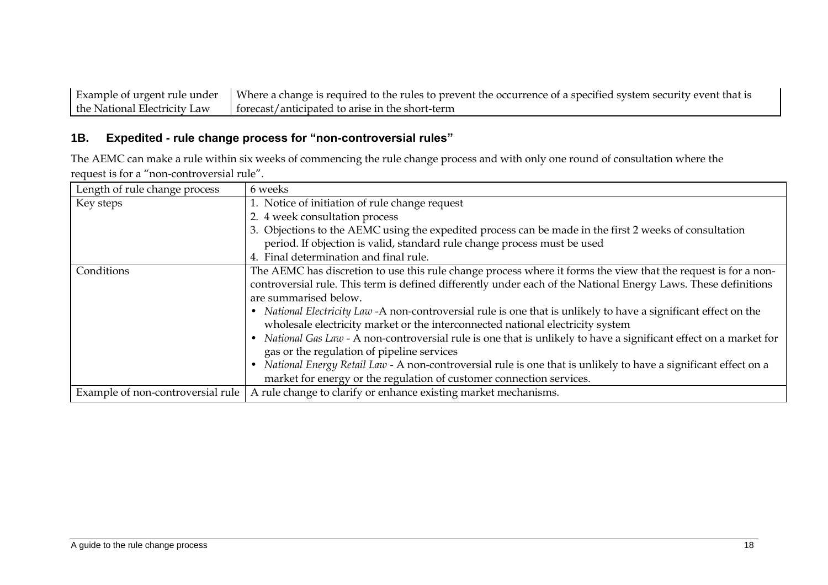Example of urgent rule under the National Electricity Law Where a change is required to the rules to prevent the occurrence of a specified system security event that is forecast/anticipated to arise in the short-term

#### **1B. Expedited - rule change process for "non-controversial rules"**

The AEMC can make a rule within six weeks of commencing the rule change process and with only one round of consultation where the request is for a "non-controversial rule".

| Length of rule change process     | 6 weeks                                                                                                                                                                                                                                                                                                                                                                                                                                                                                                                                                                                                                                                                                                                                                                                                                                   |
|-----------------------------------|-------------------------------------------------------------------------------------------------------------------------------------------------------------------------------------------------------------------------------------------------------------------------------------------------------------------------------------------------------------------------------------------------------------------------------------------------------------------------------------------------------------------------------------------------------------------------------------------------------------------------------------------------------------------------------------------------------------------------------------------------------------------------------------------------------------------------------------------|
| Key steps                         | 1. Notice of initiation of rule change request                                                                                                                                                                                                                                                                                                                                                                                                                                                                                                                                                                                                                                                                                                                                                                                            |
|                                   | 2. 4 week consultation process                                                                                                                                                                                                                                                                                                                                                                                                                                                                                                                                                                                                                                                                                                                                                                                                            |
|                                   | 3. Objections to the AEMC using the expedited process can be made in the first 2 weeks of consultation                                                                                                                                                                                                                                                                                                                                                                                                                                                                                                                                                                                                                                                                                                                                    |
|                                   | period. If objection is valid, standard rule change process must be used                                                                                                                                                                                                                                                                                                                                                                                                                                                                                                                                                                                                                                                                                                                                                                  |
|                                   | 4. Final determination and final rule.                                                                                                                                                                                                                                                                                                                                                                                                                                                                                                                                                                                                                                                                                                                                                                                                    |
| Conditions                        | The AEMC has discretion to use this rule change process where it forms the view that the request is for a non-<br>controversial rule. This term is defined differently under each of the National Energy Laws. These definitions<br>are summarised below.<br>• National Electricity Law -A non-controversial rule is one that is unlikely to have a significant effect on the<br>wholesale electricity market or the interconnected national electricity system<br>National Gas Law - A non-controversial rule is one that is unlikely to have a significant effect on a market for<br>gas or the regulation of pipeline services<br>National Energy Retail Law - A non-controversial rule is one that is unlikely to have a significant effect on a<br>$\bullet$<br>market for energy or the regulation of customer connection services. |
| Example of non-controversial rule | A rule change to clarify or enhance existing market mechanisms.                                                                                                                                                                                                                                                                                                                                                                                                                                                                                                                                                                                                                                                                                                                                                                           |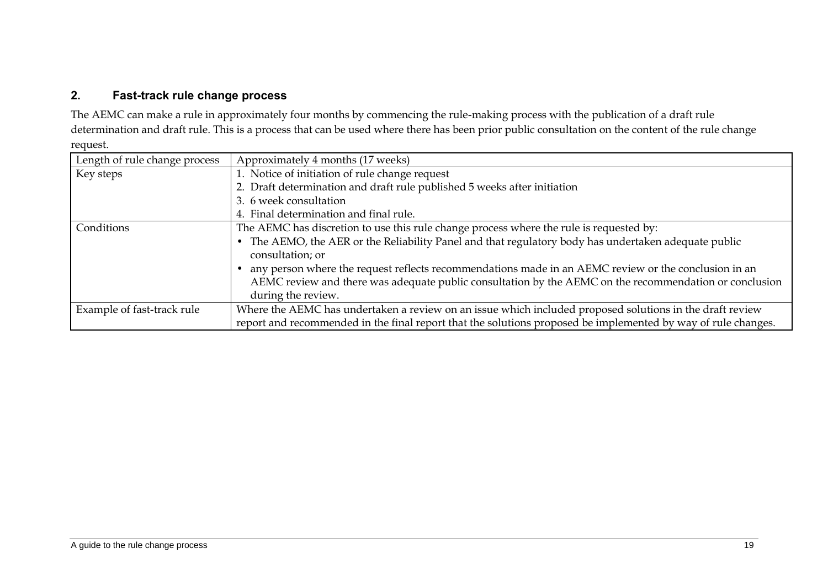#### **2. Fast-track rule change process**

The AEMC can make a rule in approximately four months by commencing the rule-making process with the publication of a draft rule determination and draft rule. This is a process that can be used where there has been prior public consultation on the content of the rule change request.

| Length of rule change process | Approximately 4 months (17 weeks)                                                                               |
|-------------------------------|-----------------------------------------------------------------------------------------------------------------|
| Key steps                     | 1. Notice of initiation of rule change request                                                                  |
|                               | 2. Draft determination and draft rule published 5 weeks after initiation                                        |
|                               | 3. 6 week consultation                                                                                          |
|                               | 4. Final determination and final rule.                                                                          |
| Conditions                    | The AEMC has discretion to use this rule change process where the rule is requested by:                         |
|                               | The AEMO, the AER or the Reliability Panel and that regulatory body has undertaken adequate public<br>$\bullet$ |
|                               | consultation; or                                                                                                |
|                               | any person where the request reflects recommendations made in an AEMC review or the conclusion in an            |
|                               | AEMC review and there was adequate public consultation by the AEMC on the recommendation or conclusion          |
|                               | during the review.                                                                                              |
| Example of fast-track rule    | Where the AEMC has undertaken a review on an issue which included proposed solutions in the draft review        |
|                               | report and recommended in the final report that the solutions proposed be implemented by way of rule changes.   |